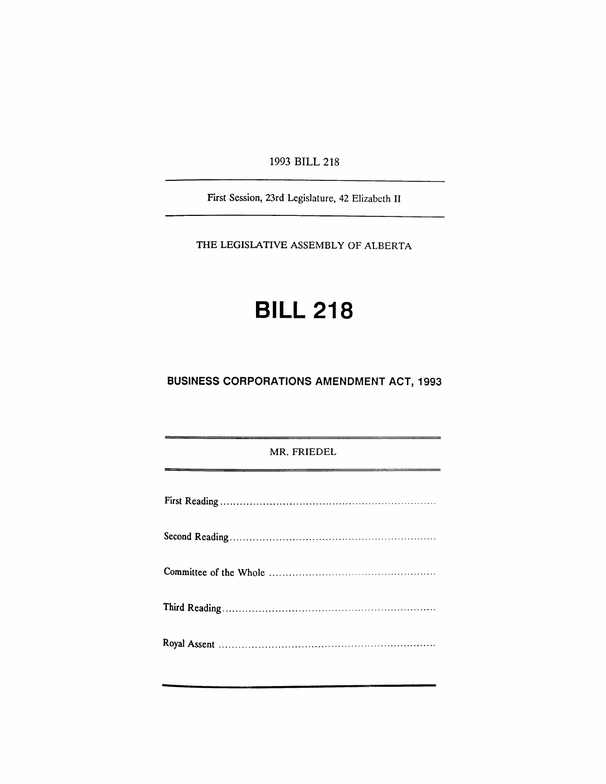1993 BILL 218

First Session, 23rd Legislature, 42 Elizabeth II

THE LEGISLATIVE ASSEMBLY OF ALBERTA

# **BILL 218**

## **BUSINESS CORPORATIONS AMENDMENT** ACT, 1993

#### MR. FRIEDEL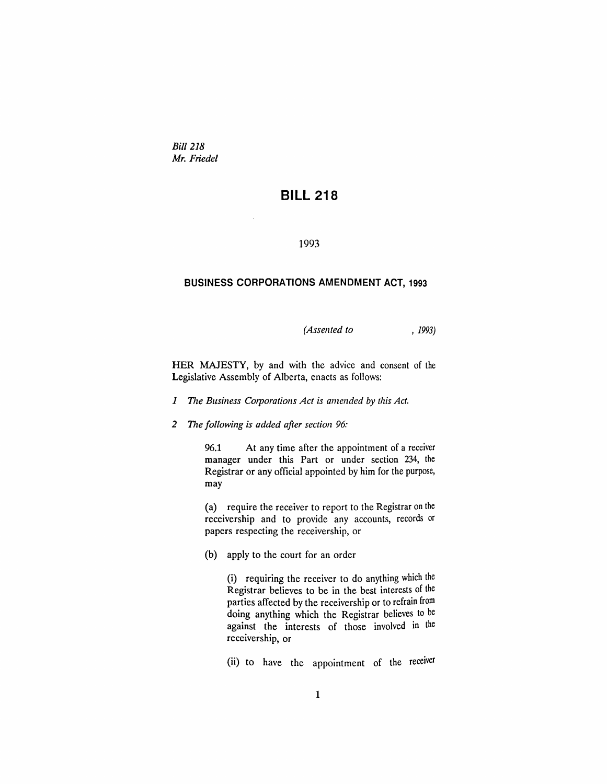*Bill 218 Mr. Friedel*

## **BILL 218**

#### 1993

#### **BUSINESS CORPORATIONS AMENDMENT ACT, 1993**

*(Assented to* , 1993)

HER MAJESTY, by and with the advice and consent of the Legislative Assembly of Alberta, enacts as follows:

- *1 The Business Corporations Act is amended* by *this Act.*
- *2 The following is added after section 96:*

96.1 At any time after the appointment of a receiver manager under this Part or under section 234, the Registrar or any official appointed by him for the purpose, may

(a) require the receiver to report to the Registrar on the receivership and to provide any accounts, records or papers respecting the receivership, or

(b) apply to the court for an order

(i) requiring the receiver to do anything which the Registrar believes to be in the best interests of the parties affected by the receivership or to refrain from doing anything which the Registrar believes to be against the interests of those involved in the receivership, or

(ii) to have the appointment of the receiver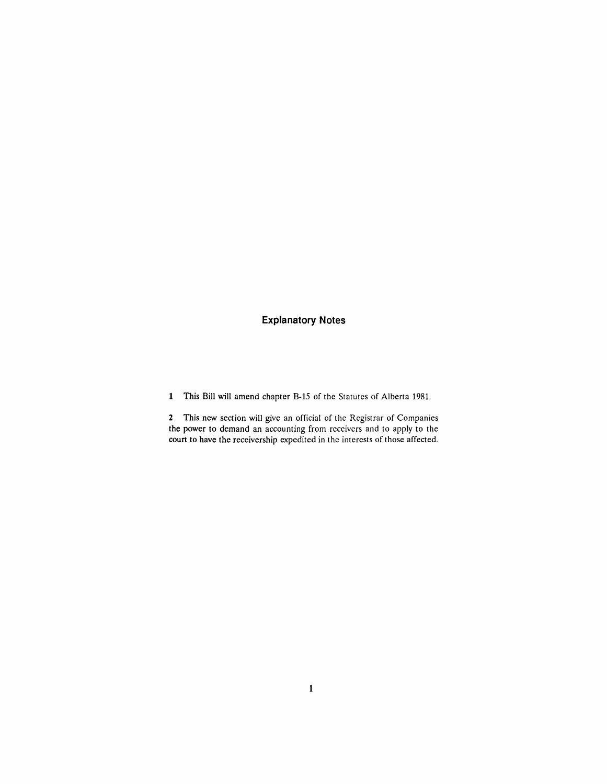### **Explanatory Notes**

1 This Bill will amend chapter B-15 of the Statutes of Alberta 1981.

2 This new section will give an official of the Registrar of Companies the power to demand an accounting from receivers and to apply to the court to have the receivership expedited in the interests of those affected.